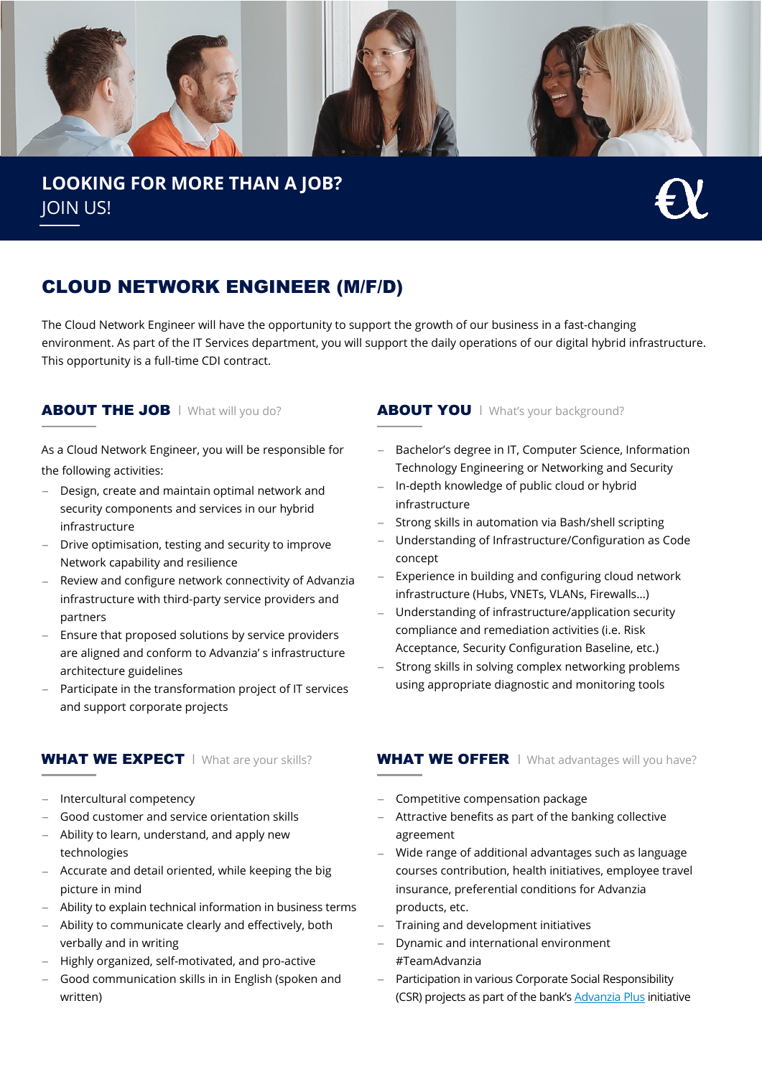

**LOOKING FOR MORE THAN A JOB?** JOIN US!

## CLOUD NETWORK ENGINEER (M/F/D)

The Cloud Network Engineer will have the opportunity to support the growth of our business in a fast-changing environment. As part of the IT Services department, you will support the daily operations of our digital hybrid infrastructure. This opportunity is a full-time CDI contract.

As a Cloud Network Engineer, you will be responsible for the following activities:

- − Design, create and maintain optimal network and security components and services in our hybrid infrastructure
- Drive optimisation, testing and security to improve Network capability and resilience
- Review and configure network connectivity of Advanzia infrastructure with third-party service providers and partners
- − Ensure that proposed solutions by service providers are aligned and conform to Advanzia' s infrastructure architecture guidelines
- Participate in the transformation project of IT services and support corporate projects

- − Intercultural competency
- − Good customer and service orientation skills
- − Ability to learn, understand, and apply new technologies
- − Accurate and detail oriented, while keeping the big picture in mind
- − Ability to explain technical information in business terms
- − Ability to communicate clearly and effectively, both verbally and in writing
- − Highly organized, self-motivated, and pro-active
- Good communication skills in in English (spoken and written)

#### **ABOUT THE JOB** I What will you do? **ABOUT YOU** I What's your background?

- − Bachelor's degree in IT, Computer Science, Information Technology Engineering or Networking and Security
- − In-depth knowledge of public cloud or hybrid infrastructure
- − Strong skills in automation via Bash/shell scripting
- − Understanding of Infrastructure/Configuration as Code concept
- − Experience in building and configuring cloud network infrastructure (Hubs, VNETs, VLANs, Firewalls…)
- − Understanding of infrastructure/application security compliance and remediation activities (i.e. Risk Acceptance, Security Configuration Baseline, etc.)
- Strong skills in solving complex networking problems using appropriate diagnostic and monitoring tools

### WHAT WE EXPECT I What are your skills? WHAT WE OFFER I What advantages will you have?

- − Competitive compensation package
- Attractive benefits as part of the banking collective agreement
- − Wide range of additional advantages such as language courses contribution, health initiatives, employee travel insurance, preferential conditions for Advanzia products, etc.
- − Training and development initiatives
- − Dynamic and international environment #TeamAdvanzia
- − Participation in various Corporate Social Responsibility (CSR) projects as part of the bank's [Advanzia Plus](https://www.advanzia.com/en-gb/about-us/responsibility) initiative